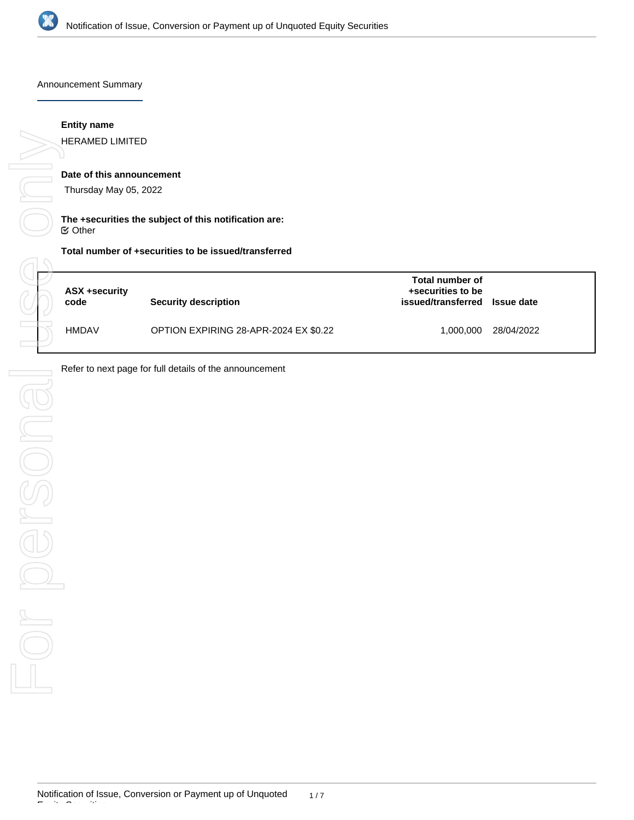

Announcement Summary

## **Entity name**

HERAMED LIMITED

# **Date of this announcement**

Thursday May 05, 2022

## **The +securities the subject of this notification are:** Other

## **Total number of +securities to be issued/transferred**

| ASX +security<br>code | Security description                  | Total number of<br>+securities to be<br>issued/transferred | <b>Issue date</b> |
|-----------------------|---------------------------------------|------------------------------------------------------------|-------------------|
| <b>HMDAV</b>          | OPTION EXPIRING 28-APR-2024 EX \$0.22 | 1.000.000                                                  | 28/04/2022        |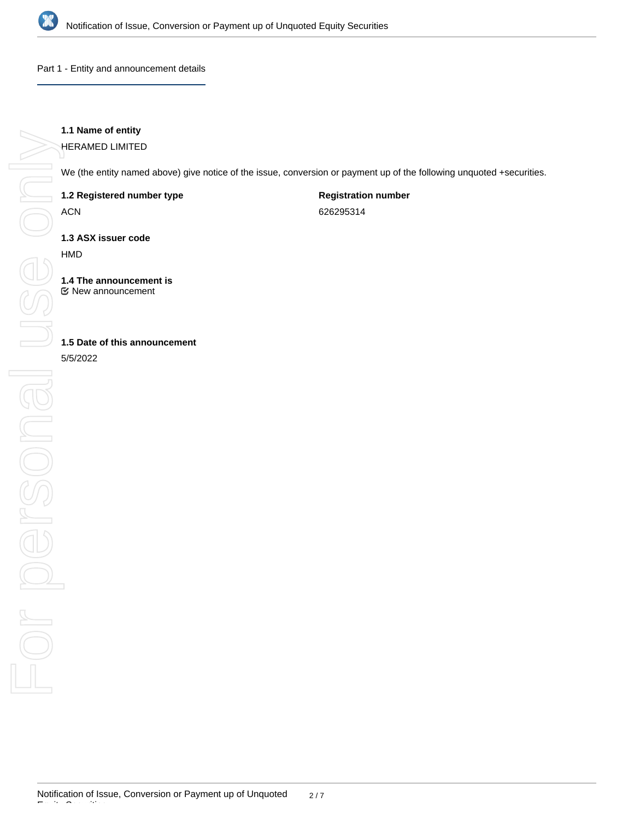

Part 1 - Entity and announcement details

# **1.1 Name of entity**

HERAMED LIMITED

We (the entity named above) give notice of the issue, conversion or payment up of the following unquoted +securities.

**1.2 Registered number type**

ACN

**Registration number**

626295314

**1.3 ASX issuer code**

HMD

**1.4 The announcement is** New announcement

**1.5 Date of this announcement**

5/5/2022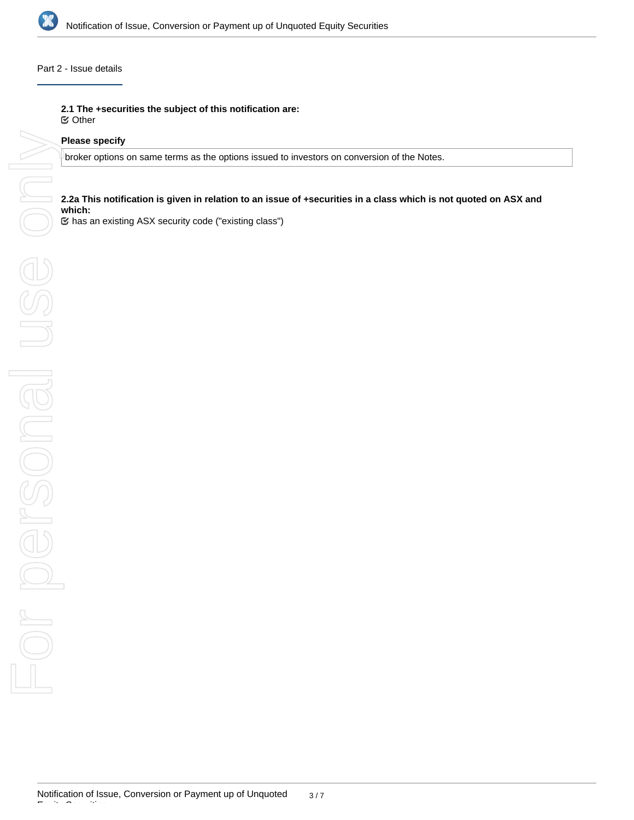

## Part 2 - Issue details

**2.1 The +securities the subject of this notification are:**

Other

### **Please specify**

broker options on same terms as the options issued to investors on conversion of the Notes.

## **2.2a This notification is given in relation to an issue of +securities in a class which is not quoted on ASX and which:**

has an existing ASX security code ("existing class")

Equity Securities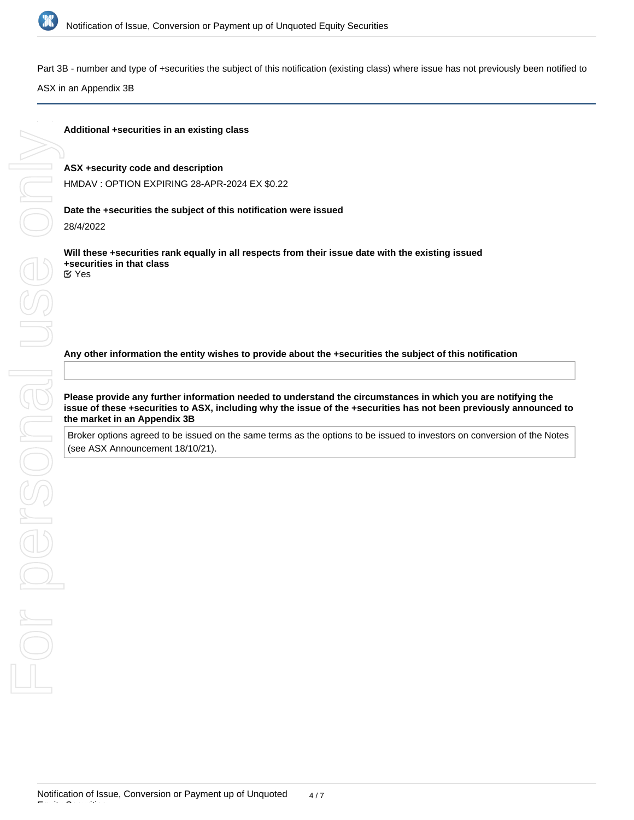

Part 3B - number and type of +securities the subject of this notification (existing class) where issue has not previously been notified to

ASX in an Appendix 3B

### **Additional +securities in an existing class**

#### **ASX +security code and description**

HMDAV : OPTION EXPIRING 28-APR-2024 EX \$0.22

#### **Date the +securities the subject of this notification were issued**

28/4/2022

**Will these +securities rank equally in all respects from their issue date with the existing issued +securities in that class** Yes

**Any other information the entity wishes to provide about the +securities the subject of this notification**

**Please provide any further information needed to understand the circumstances in which you are notifying the issue of these +securities to ASX, including why the issue of the +securities has not been previously announced to the market in an Appendix 3B**

Broker options agreed to be issued on the same terms as the options to be issued to investors on conversion of the Notes (see ASX Announcement 18/10/21).

Equity Securities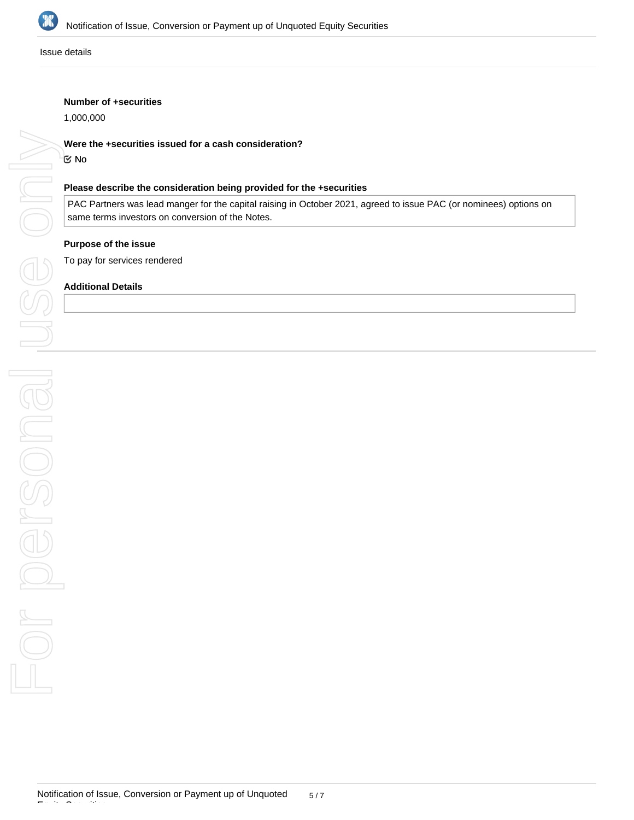

Issue details

### **Number of +securities**

1,000,000

# **Were the +securities issued for a cash consideration?**

No

## **Please describe the consideration being provided for the +securities**

PAC Partners was lead manger for the capital raising in October 2021, agreed to issue PAC (or nominees) options on same terms investors on conversion of the Notes.

# **Purpose of the issue**

To pay for services rendered

### **Additional Details**

Equity Securities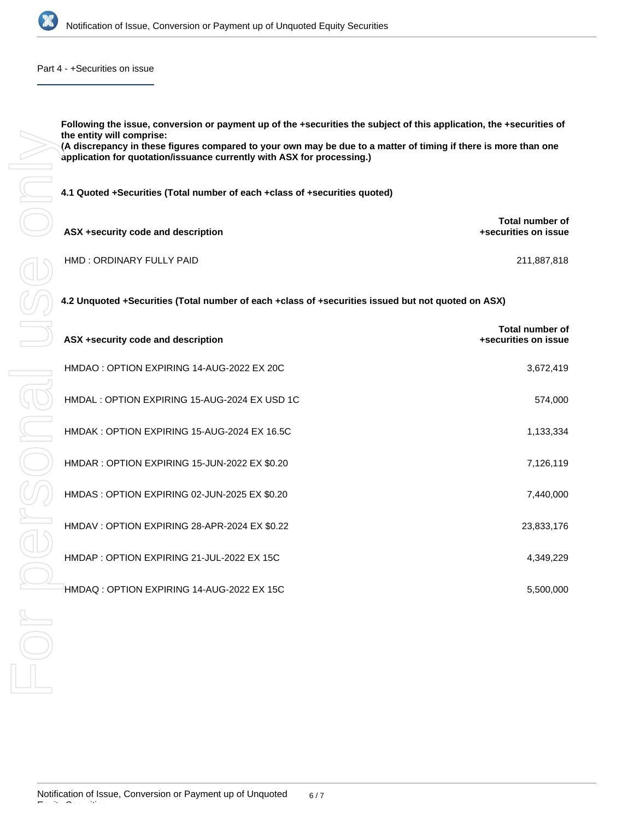

Part 4 - +Securities on issue

**Following the issue, conversion or payment up of the +securities the subject of this application, the +securities of the entity will comprise: (A discrepancy in these figures compared to your own may be due to a matter of timing if there is more than one application for quotation/issuance currently with ASX for processing.)**

**4.1 Quoted +Securities (Total number of each +class of +securities quoted)**

| ASX +security code and description | Total number of<br>+securities on issue |
|------------------------------------|-----------------------------------------|
| HMD: ORDINARY FULLY PAID           | 211.887.818                             |

**4.2 Unquoted +Securities (Total number of each +class of +securities issued but not quoted on ASX)**

| ASX +security code and description           | Total number of<br>+securities on issue |  |  |  |  |
|----------------------------------------------|-----------------------------------------|--|--|--|--|
| HMDAO: OPTION EXPIRING 14-AUG-2022 EX 20C    | 3,672,419                               |  |  |  |  |
| HMDAL: OPTION EXPIRING 15-AUG-2024 EX USD 1C | 574,000                                 |  |  |  |  |
| HMDAK: OPTION EXPIRING 15-AUG-2024 EX 16.5C  | 1,133,334                               |  |  |  |  |
| HMDAR: OPTION EXPIRING 15-JUN-2022 EX \$0.20 | 7,126,119                               |  |  |  |  |
| HMDAS: OPTION EXPIRING 02-JUN-2025 EX \$0.20 | 7,440,000                               |  |  |  |  |
| HMDAV: OPTION EXPIRING 28-APR-2024 EX \$0.22 | 23,833,176                              |  |  |  |  |
| HMDAP: OPTION EXPIRING 21-JUL-2022 EX 15C    | 4,349,229                               |  |  |  |  |
| HMDAQ: OPTION EXPIRING 14-AUG-2022 EX 15C    | 5,500,000                               |  |  |  |  |